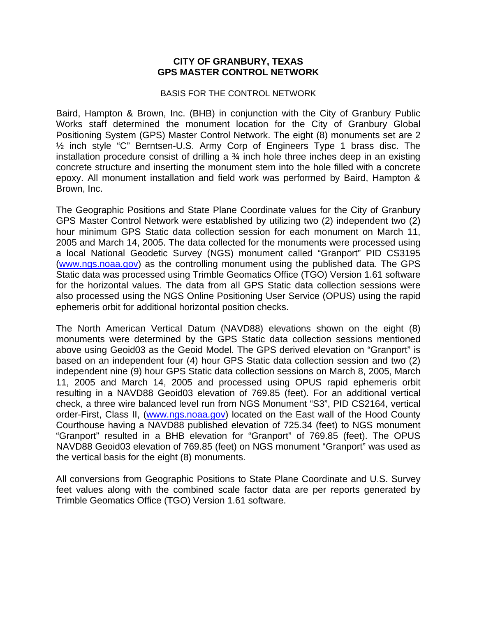## **CITY OF GRANBURY, TEXAS GPS MASTER CONTROL NETWORK**

## BASIS FOR THE CONTROL NETWORK

Baird, Hampton & Brown, Inc. (BHB) in conjunction with the City of Granbury Public Works staff determined the monument location for the City of Granbury Global Positioning System (GPS) Master Control Network. The eight (8) monuments set are 2 ½ inch style "C" Berntsen-U.S. Army Corp of Engineers Type 1 brass disc. The installation procedure consist of drilling a  $\frac{3}{4}$  inch hole three inches deep in an existing concrete structure and inserting the monument stem into the hole filled with a concrete epoxy. All monument installation and field work was performed by Baird, Hampton & Brown, Inc.

The Geographic Positions and State Plane Coordinate values for the City of Granbury GPS Master Control Network were established by utilizing two (2) independent two (2) hour minimum GPS Static data collection session for each monument on March 11, 2005 and March 14, 2005. The data collected for the monuments were processed using a local National Geodetic Survey (NGS) monument called "Granport" PID CS3195 (www.ngs.noaa.gov) as the controlling monument using the published data. The GPS Static data was processed using Trimble Geomatics Office (TGO) Version 1.61 software for the horizontal values. The data from all GPS Static data collection sessions were also processed using the NGS Online Positioning User Service (OPUS) using the rapid ephemeris orbit for additional horizontal position checks.

The North American Vertical Datum (NAVD88) elevations shown on the eight (8) monuments were determined by the GPS Static data collection sessions mentioned above using Geoid03 as the Geoid Model. The GPS derived elevation on "Granport" is based on an independent four (4) hour GPS Static data collection session and two (2) independent nine (9) hour GPS Static data collection sessions on March 8, 2005, March 11, 2005 and March 14, 2005 and processed using OPUS rapid ephemeris orbit resulting in a NAVD88 Geoid03 elevation of 769.85 (feet). For an additional vertical check, a three wire balanced level run from NGS Monument "S3", PID CS2164, vertical order-First, Class II, (www.ngs.noaa.gov) located on the East wall of the Hood County Courthouse having a NAVD88 published elevation of 725.34 (feet) to NGS monument "Granport" resulted in a BHB elevation for "Granport" of 769.85 (feet). The OPUS NAVD88 Geoid03 elevation of 769.85 (feet) on NGS monument "Granport" was used as the vertical basis for the eight (8) monuments.

All conversions from Geographic Positions to State Plane Coordinate and U.S. Survey feet values along with the combined scale factor data are per reports generated by Trimble Geomatics Office (TGO) Version 1.61 software.